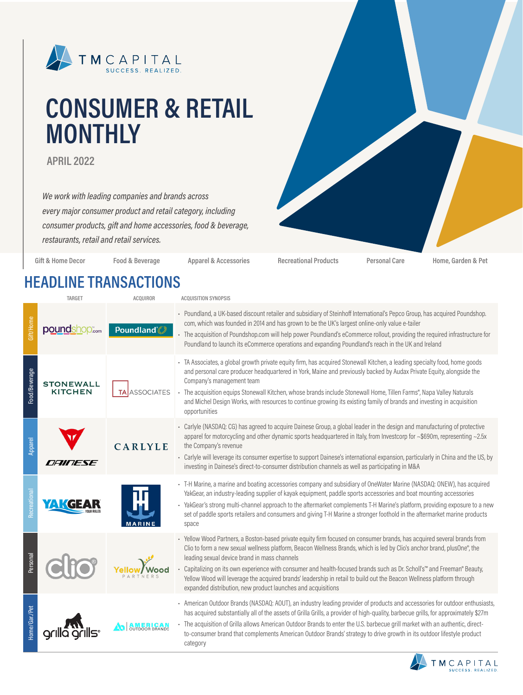

# **CONSUMER & RETAIL MONTHLY**

**APRIL 2022**

*We work with leading companies and brands across every major consumer product and retail category, including consumer products, gift and home accessories, food & beverage, restaurants, retail and retail services.*



**Gift & Home Decor Food & Beverage Apparel & Accessories Recreational Products Personal Care Home, Garden & Pet**

### **HEADLINE TRANSACTIONS**

| <b>TARGET</b> |                                    | <b>ACQUIROR</b>   | <b>ACQUISITION SYNOPSIS</b>                                                                                                                                                                                                                                                                                                                                                                                                                                                                                                                                                                                          |  |  |  |
|---------------|------------------------------------|-------------------|----------------------------------------------------------------------------------------------------------------------------------------------------------------------------------------------------------------------------------------------------------------------------------------------------------------------------------------------------------------------------------------------------------------------------------------------------------------------------------------------------------------------------------------------------------------------------------------------------------------------|--|--|--|
| Gift/Home     | poundshop.com                      | <b>Poundland</b>  | - Poundland, a UK-based discount retailer and subsidiary of Steinhoff International's Pepco Group, has acquired Poundshop.<br>com, which was founded in 2014 and has grown to be the UK's largest online-only value e-tailer<br>The acquisition of Poundshop.com will help power Poundland's eCommerce rollout, providing the required infrastructure for<br>Poundland to launch its eCommerce operations and expanding Poundland's reach in the UK and Ireland                                                                                                                                                      |  |  |  |
| Food/Beverage | <b>STONEWALL</b><br><b>KITCHEN</b> | <b>ASSOCIATES</b> | - TA Associates, a global growth private equity firm, has acquired Stonewall Kitchen, a leading specialty food, home goods<br>and personal care producer headquartered in York, Maine and previously backed by Audax Private Equity, alongside the<br>Company's management team<br>The acquisition equips Stonewall Kitchen, whose brands include Stonewall Home, Tillen Farms®, Napa Valley Naturals<br>and Michel Design Works, with resources to continue growing its existing family of brands and investing in acquisition<br>opportunities                                                                     |  |  |  |
| Apparel       | <i><b>DAINESE</b></i>              | CARLYLE           | - Carlyle (NASDAQ: CG) has agreed to acquire Dainese Group, a global leader in the design and manufacturing of protective<br>apparel for motorcycling and other dynamic sports headquartered in Italy, from Investcorp for ~\$690m, representing ~2.5x<br>the Company's revenue<br>- Carlyle will leverage its consumer expertise to support Dainese's international expansion, particularly in China and the US, by<br>investing in Dainese's direct-to-consumer distribution channels as well as participating in M&A                                                                                              |  |  |  |
| lecreationa   |                                    |                   | - T-H Marine, a marine and boating accessories company and subsidiary of OneWater Marine (NASDAQ: ONEW), has acquired<br>YakGear, an industry-leading supplier of kayak equipment, paddle sports accessories and boat mounting accessories<br>- YakGear's strong multi-channel approach to the aftermarket complements T-H Marine's platform, providing exposure to a new<br>set of paddle sports retailers and consumers and giving T-H Marine a stronger foothold in the aftermarket marine products<br>space                                                                                                      |  |  |  |
| Personal      |                                    |                   | - Yellow Wood Partners, a Boston-based private equity firm focused on consumer brands, has acquired several brands from<br>Clio to form a new sexual wellness platform, Beacon Wellness Brands, which is led by Clio's anchor brand, plusOne®, the<br>leading sexual device brand in mass channels<br>Capitalizing on its own experience with consumer and health-focused brands such as Dr. Scholl's™ and Freeman® Beauty,<br>Yellow Wood will leverage the acquired brands' leadership in retail to build out the Beacon Wellness platform through<br>expanded distribution, new product launches and acquisitions |  |  |  |
| Home/Gar./Pet |                                    |                   | - American Outdoor Brands (NASDAQ: AOUT), an industry leading provider of products and accessories for outdoor enthusiasts,<br>has acquired substantially all of the assets of Grilla Grills, a provider of high-quality, barbecue grills, for approximately \$27m<br>The acquisition of Grilla allows American Outdoor Brands to enter the U.S. barbecue grill market with an authentic, direct-<br>to-consumer brand that complements American Outdoor Brands' strategy to drive growth in its outdoor lifestyle product<br>category                                                                               |  |  |  |

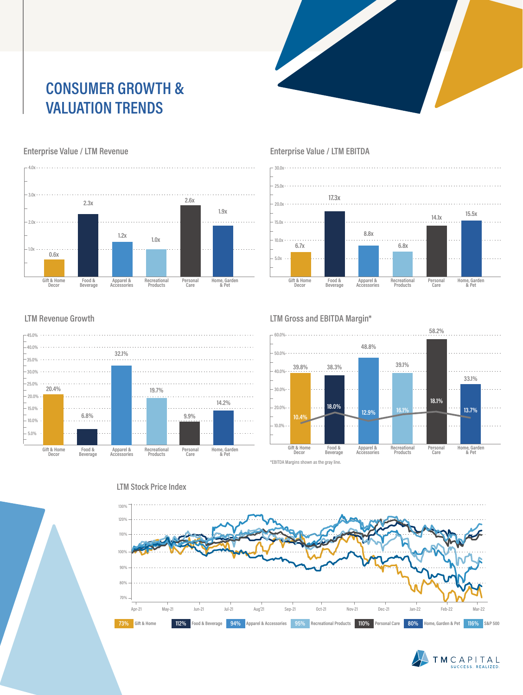## **CONSUMER GROWTH & VALUATION TRENDS**



#### **Enterprise Value / LTM Revenue**





#### **Enterprise Value / LTM EBITDA**

#### **LTM Revenue Growth**



#### **LTM Gross and EBITDA Margin\***





### **LTM Stock Price Index**